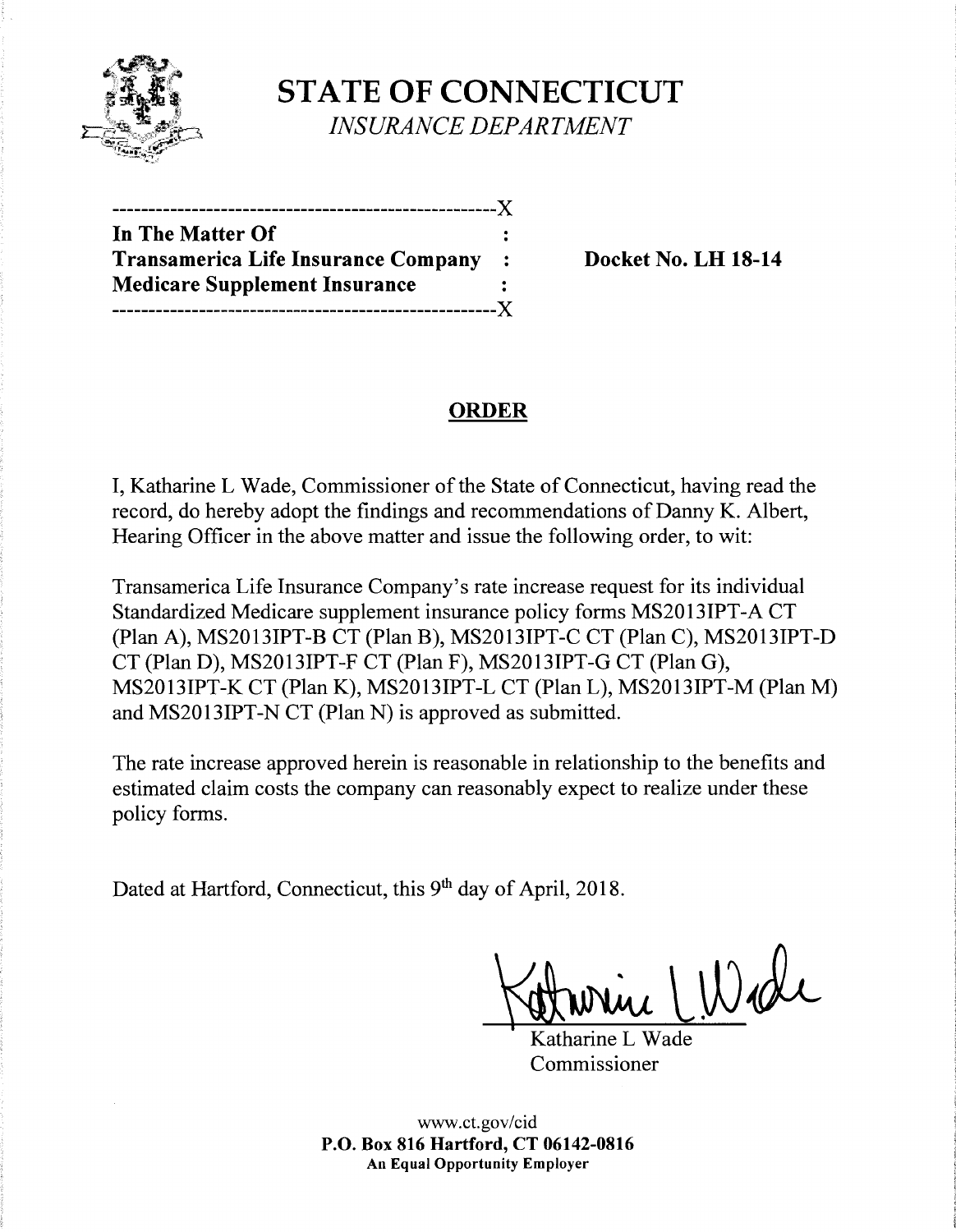

**STATE OF CONNECTICUT**  *INSURANCE DEPARTMENT* 

| ----------------------------X              |                |
|--------------------------------------------|----------------|
| In The Matter Of                           |                |
| <b>Transamerica Life Insurance Company</b> | $\ddot{\cdot}$ |
| <b>Medicare Supplement Insurance</b>       |                |
|                                            | $-X$           |

**Docket No. LH 18-14** 

# **ORDER**

I, Katharine L Wade, Commissioner of the State of Connecticut, having read the record, do hereby adopt the findings and recommendations of Danny K. Albert, Hearing Officer in the above matter and issue the following order, to wit:

Transamerica Life Insurance Company's rate increase request for its individual Standardized Medicare supplement insurance policy forms MS2013IPT-A CT (Plan A), MS2013IPT-B CT (Plan B), MS2013IPT-C CT (Plan C), MS2013IPT-D CT (Plan D), MS2013IPT-F CT (Plan F), MS2013IPT-G CT (Plan G), MS2013IPT-K CT (Plan K), MS2013IPT-L CT (Plan L), MS2013IPT-M (Plan M) and MS2013IPT-N CT (Plan N) is approved as submitted.

The rate increase approved herein is reasonable in relationship to the benefits and estimated claim costs the company can reasonably expect to realize under these policy forms.

Dated at Hartford, Connecticut, this 9<sup>th</sup> day of April, 2018.

Where LWade

Commissioner

www.ct.gov/cid **P.O. Box 816 Hartford, CT 06142-0816 An Equal Opportunity Employer**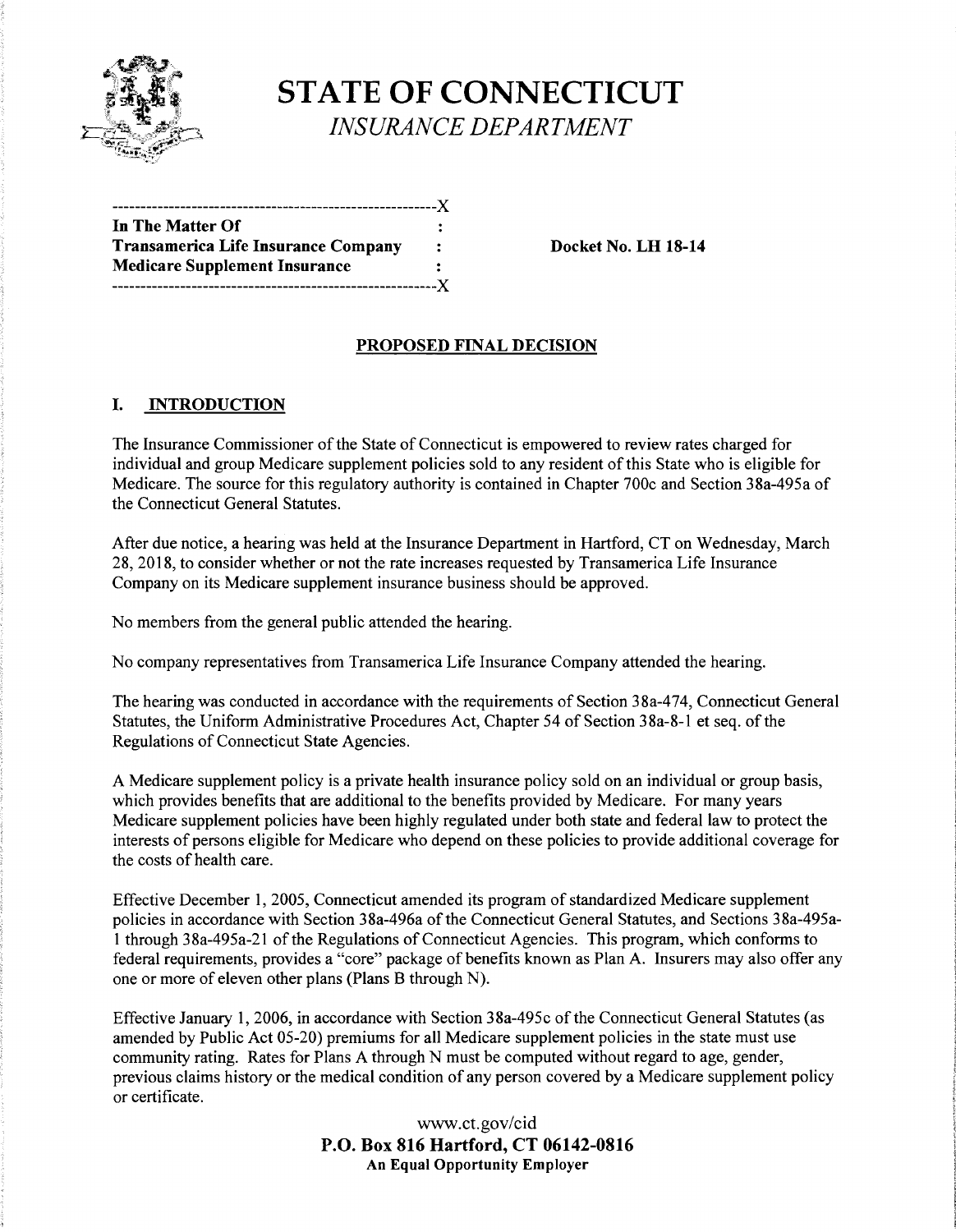

**STATE OF CONNECTICUT**  *INSURANCE DEPARTMENT* 

| ------------------------------             |                |
|--------------------------------------------|----------------|
| In The Matter Of                           |                |
| <b>Transamerica Life Insurance Company</b> | $\ddot{\cdot}$ |
| <b>Medicare Supplement Insurance</b>       |                |
|                                            |                |

**Docket No. LH 18-14** 

# **PROPOSED FINAL DECISION**

## I. **INTRODUCTION**

The Insurance Commissioner of the State of Connecticut is empowered to review rates charged for individual and group Medicare supplement policies sold to any resident of this State who is eligible for Medicare. The source for this regulatory authority is contained in Chapter 700c and Section 38a-495a of the Connecticut General Statutes.

After due notice, a hearing was held at the Insurance Department in Hartford, CT on Wednesday, March 28, 2018, to consider whether or not the rate increases requested by Transamerica Life Insurance Company on its Medicare supplement insurance business should be approved.

No members from the general public attended the hearing.

No company representatives from Transamerica Life Insurance Company attended the hearing.

The hearing was conducted in accordance with the requirements of Section 38a-474, Connecticut General Statutes, the Uniform Administrative Procedures Act, Chapter 54 of Section 38a-8-l et seq. of the Regulations of Connecticut State Agencies.

A Medicare supplement policy is a private health insurance policy sold on an individual or group basis, which provides benefits that are additional to the benefits provided by Medicare. For many years Medicare supplement policies have been highly regulated under both state and federal law to protect the interests of persons eligible for Medicare who depend on these policies to provide additional coverage for the costs of health care.

Effective December 1, 2005, Connecticut amended its program of standardized Medicare supplement policies in accordance with Section 38a-496a of the Connecticut General Statutes, and Sections 38a-495a-1 through 38a-495a-21 of the Regulations of Connecticut Agencies. This program, which conforms to federal requirements, provides a "core" package of benefits known as Plan A. Insurers may also offer any one or more of eleven other plans (Plans B through N).

Effective January 1, 2006, in accordance with Section 38a-495c of the Connecticut General Statutes (as amended by Public Act 05-20) premiums for all Medicare supplement policies in the state must use community rating. Rates for Plans A through N must be computed without regard to age, gender, previous claims history or the medical condition of any person covered by a Medicare supplement policy or certificate.

> www.ct.gov/cid **P.O. Box 816 Hartford, CT 06142-0816 An Equal Opportunity Employer**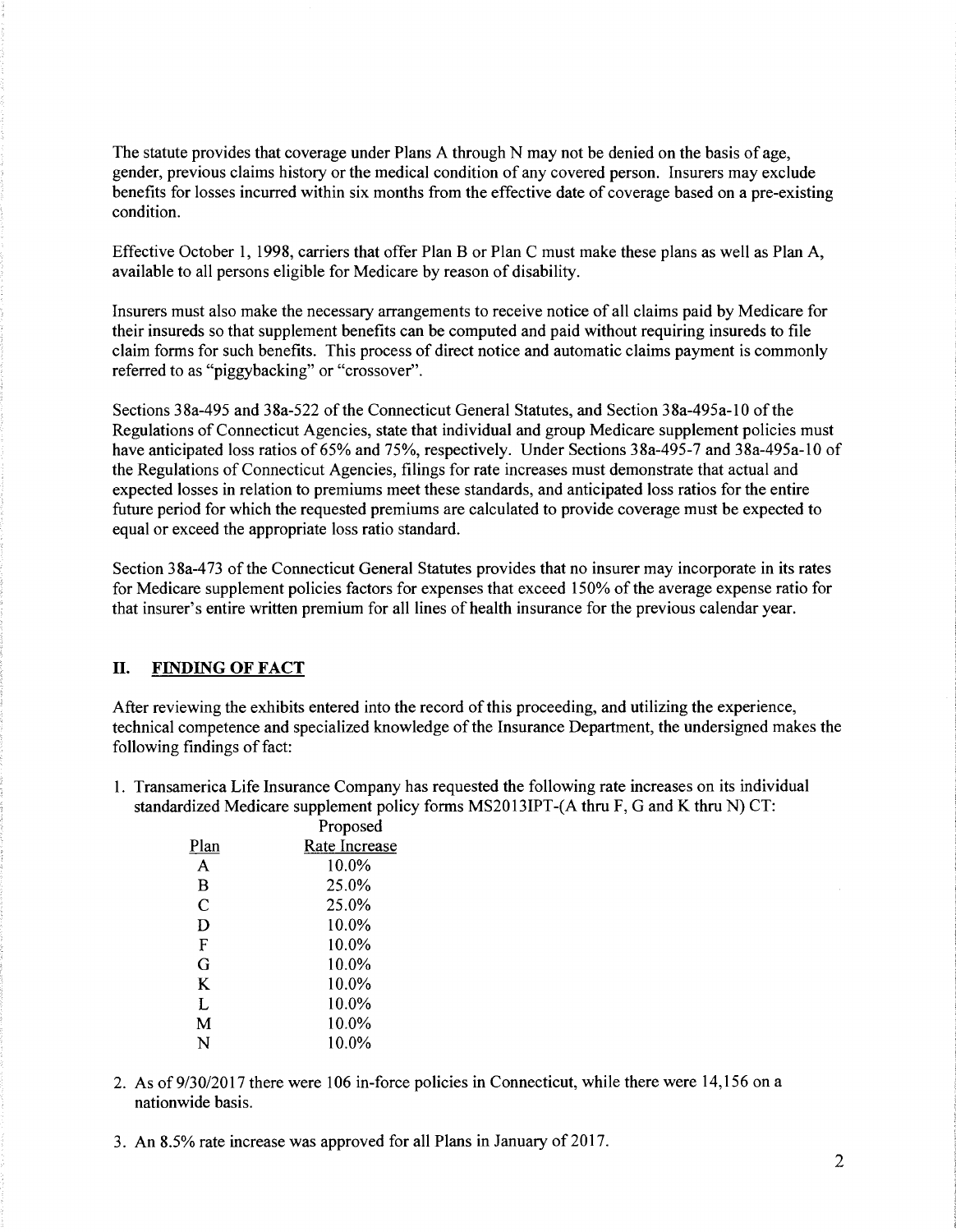The statute provides that coverage under Plans A through N may not be denied on the basis of age, gender, previous claims history or the medical condition of any covered person. Insurers may exclude benefits for losses incurred within six months from the effective date of coverage based on a pre-existing condition.

Effective October 1, 1998, carriers that offer Plan B or Plan C must make these plans as well as Plan A, available to all persons eligible for Medicare by reason of disability.

Insurers must also make the necessary arrangements to receive notice of all claims paid by Medicare for their insureds so that supplement benefits can be computed and paid without requiring insureds to file claim forms for such benefits. This process of direct notice and automatic claims payment is commonly referred to as "piggybacking" or "crossover".

Sections 38a-495 and 38a-522 of the Connecticut General Statutes, and Section 38a-495a-10 of the Regulations of Connecticut Agencies, state that individual and group Medicare supplement policies must have anticipated loss ratios of 65% and 75%, respectively. Under Sections 38a-495-7 and 38a-495a-10 of the Regulations of Connecticut Agencies, filings for rate increases must demonstrate that actual and expected losses in relation to premiums meet these standards, and anticipated loss ratios for the entire future period for which the requested premiums are calculated to provide coverage must be expected to equal or exceed the appropriate loss ratio standard.

Section 38a-473 of the Connecticut General Statutes provides that no insurer may incorporate in its rates for Medicare supplement policies factors for expenses that exceed 150% ofthe average expense ratio for that insurer's entire written premium for all lines of health insurance for the previous calendar year.

### II. **FINDING OF FACT**

After reviewing the exhibits entered into the record ofthis proceeding, and utilizing the experience, technical competence and specialized knowledge of the Insurance Department, the undersigned makes the following findings of fact:

1. Transamerica Life Insurance Company has requested the following rate increases on its individual standardized Medicare supplement policy forms MS2013IPT-(A thru F, G and K thru N) CT:

|      | Proposed      |
|------|---------------|
| Plan | Rate Increase |
| A    | 10.0%         |
| B    | 25.0%         |
| C    | 25.0%         |
| Ð    | $10.0\%$      |
| F    | 10.0%         |
| G    | 10.0%         |
| K    | 10.0%         |
| L    | 10.0%         |
| М    | 10.0%         |
| N    | 10.0%         |
|      |               |

- 2. As of 9/30/2017 there were 106 in-force policies in Connecticut, while there were 14,156 on a nationwide basis.
- 3. An 8.5% rate increase was approved for all Plans in January of 2017.